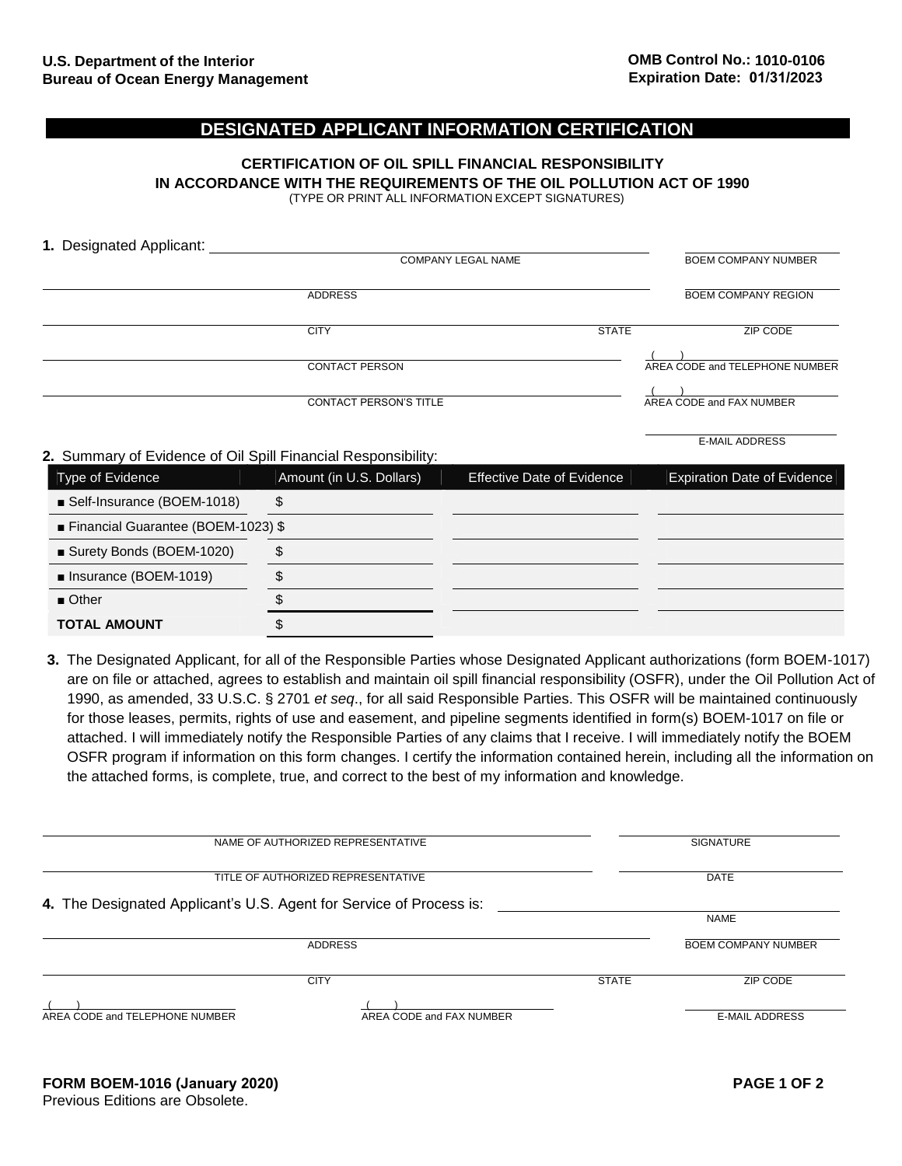E-MAIL ADDRESS

## **DESIGNATED APPLICANT INFORMATION CERTIFICATION**

### **CERTIFICATION OF OIL SPILL FINANCIAL RESPONSIBILITY IN ACCORDANCE WITH THE REQUIREMENTS OF THE OIL POLLUTION ACT OF 1990** (TYPE OR PRINT ALL INFORMATION EXCEPT SIGNATURES)

| 1. Designated Applicant: |                               |              |                                |  |
|--------------------------|-------------------------------|--------------|--------------------------------|--|
|                          | <b>COMPANY LEGAL NAME</b>     |              | <b>BOEM COMPANY NUMBER</b>     |  |
|                          | <b>ADDRESS</b>                |              | <b>BOEM COMPANY REGION</b>     |  |
|                          | <b>CITY</b>                   | <b>STATE</b> | ZIP CODE                       |  |
|                          | <b>CONTACT PERSON</b>         |              | AREA CODE and TELEPHONE NUMBER |  |
|                          | <b>CONTACT PERSON'S TITLE</b> |              | AREA CODE and FAX NUMBER       |  |

### **2.** Summary of Evidence of Oil Spill Financial Responsibility:

| Type of Evidence                   | Amount (in U.S. Dollars) | <b>Effective Date of Evidence</b> | <b>Expiration Date of Evidence</b> |
|------------------------------------|--------------------------|-----------------------------------|------------------------------------|
| ■ Self-Insurance (BOEM-1018)       | S                        |                                   |                                    |
| Financial Guarantee (BOEM-1023) \$ |                          |                                   |                                    |
| ■ Surety Bonds (BOEM-1020)         |                          |                                   |                                    |
| Insurance (BOEM-1019)              |                          |                                   |                                    |
| $\blacksquare$ Other               |                          |                                   |                                    |
| <b>TOTAL AMOUNT</b>                |                          |                                   |                                    |

**3.** The Designated Applicant, for all of the Responsible Parties whose Designated Applicant authorizations (form BOEM-1017) are on file or attached, agrees to establish and maintain oil spill financial responsibility (OSFR), under the Oil Pollution Act of 1990, as amended, 33 U.S.C. § 2701 *et seq*., for all said Responsible Parties. This OSFR will be maintained continuously for those leases, permits, rights of use and easement, and pipeline segments identified in form(s) BOEM-1017 on file or attached. I will immediately notify the Responsible Parties of any claims that I receive. I will immediately notify the BOEM OSFR program if information on this form changes. I certify the information contained herein, including all the information on the attached forms, is complete, true, and correct to the best of my information and knowledge.

| NAME OF AUTHORIZED REPRESENTATIVE                                   |                          | <b>SIGNATURE</b> |                            |
|---------------------------------------------------------------------|--------------------------|------------------|----------------------------|
| TITLE OF AUTHORIZED REPRESENTATIVE                                  |                          |                  | <b>DATE</b>                |
| 4. The Designated Applicant's U.S. Agent for Service of Process is: |                          |                  | <b>NAME</b>                |
| <b>ADDRESS</b>                                                      |                          |                  | <b>BOEM COMPANY NUMBER</b> |
|                                                                     | <b>CITY</b>              | <b>STATE</b>     | ZIP CODE                   |
| AREA CODE and TELEPHONE NUMBER                                      | AREA CODE and FAX NUMBER |                  | <b>E-MAIL ADDRESS</b>      |